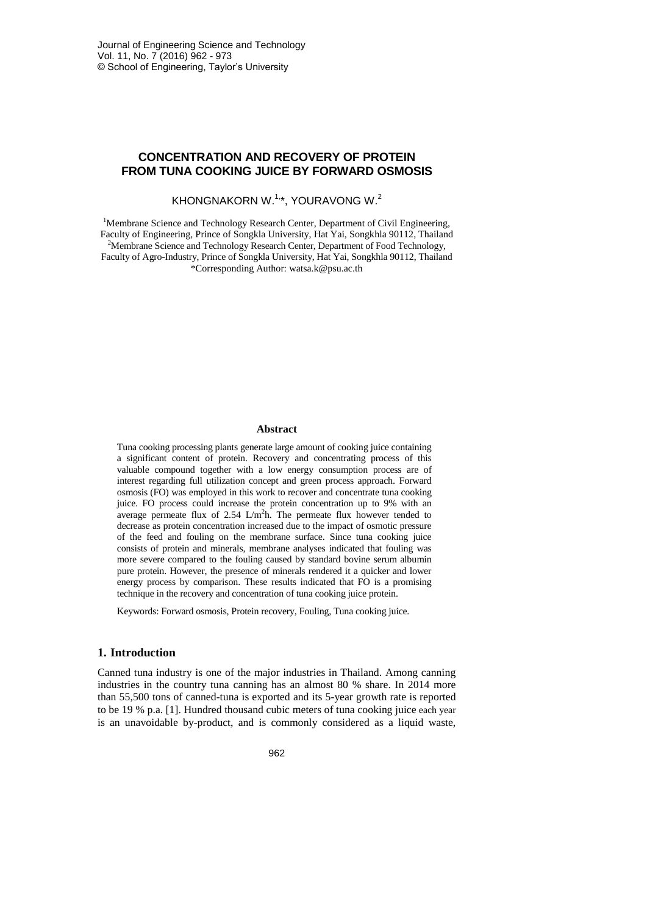# **CONCENTRATION AND RECOVERY OF PROTEIN FROM TUNA COOKING JUICE BY FORWARD OSMOSIS**

# KHONGNAKORN W. $1,4$ , YOURAVONG W. $2$

<sup>1</sup>Membrane Science and Technology Research Center, Department of Civil Engineering, Faculty of Engineering, Prince of Songkla University, Hat Yai, Songkhla 90112, Thailand <sup>2</sup>Membrane Science and Technology Research Center, Department of Food Technology, Faculty of Agro-Industry, Prince of Songkla University, Hat Yai, Songkhla 90112, Thailand \*Corresponding Author: watsa.k@psu.ac.th

#### **Abstract**

Tuna cooking processing plants generate large amount of cooking juice containing a significant content of protein. Recovery and concentrating process of this valuable compound together with a low energy consumption process are of interest regarding full utilization concept and green process approach. Forward osmosis (FO) was employed in this work to recover and concentrate tuna cooking juice. FO process could increase the protein concentration up to 9% with an average permeate flux of 2.54  $L/m<sup>2</sup>$ h. The permeate flux however tended to decrease as protein concentration increased due to the impact of osmotic pressure of the feed and fouling on the membrane surface. Since tuna cooking juice consists of protein and minerals, membrane analyses indicated that fouling was more severe compared to the fouling caused by standard bovine serum albumin pure protein. However, the presence of minerals rendered it a quicker and lower energy process by comparison. These results indicated that FO is a promising technique in the recovery and concentration of tuna cooking juice protein.

Keywords: Forward osmosis, Protein recovery, Fouling, Tuna cooking juice.

# **1. Introduction**

Canned tuna industry is one of the major industries in Thailand. Among canning industries in the country tuna canning has an almost 80 % share. In 2014 more than 55,500 tons of canned-tuna is exported and its 5-year growth rate is reported to be 19 % p.a. [1]. Hundred thousand cubic meters of tuna cooking juice each year is an unavoidable by-product, and is commonly considered as a liquid waste,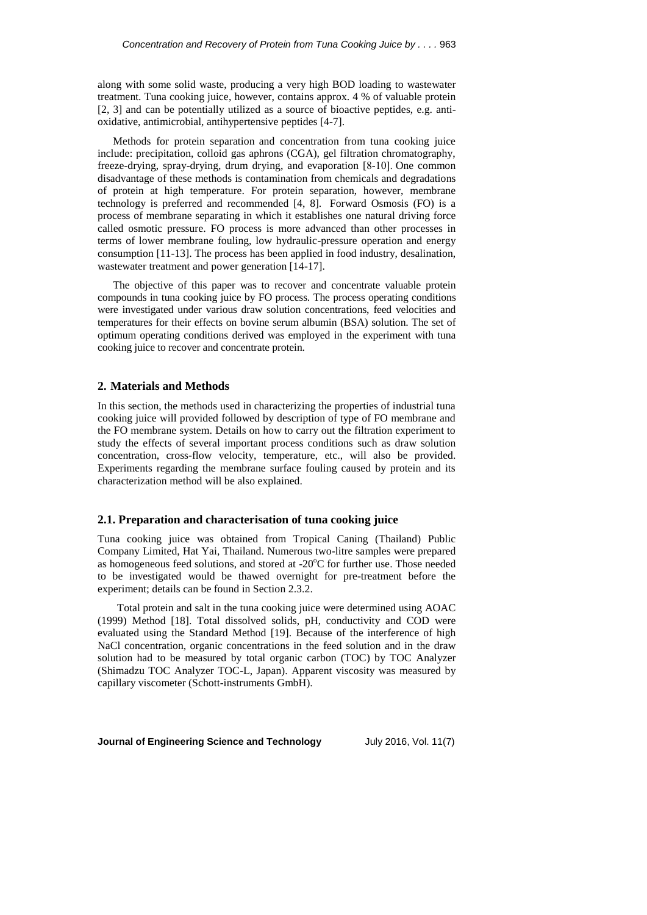along with some solid waste, producing a very high BOD loading to wastewater treatment. Tuna cooking juice, however, contains approx. 4 % of valuable protein [2, 3] and can be potentially utilized as a source of bioactive peptides, e.g. antioxidative, antimicrobial, antihypertensive peptides [4-7].

Methods for protein separation and concentration from tuna cooking juice include: precipitation, colloid gas aphrons (CGA), gel filtration chromatography, freeze-drying, spray-drying, drum drying, and evaporation [8-10]. One common disadvantage of these methods is contamination from chemicals and degradations of protein at high temperature. For protein separation, however, membrane technology is preferred and recommended [4, 8]. Forward Osmosis (FO) is a process of membrane separating in which it establishes one natural driving force called osmotic pressure. FO process is more advanced than other processes in terms of lower membrane fouling, low hydraulic-pressure operation and energy consumption [11-13]. The process has been applied in food industry, desalination, wastewater treatment and power generation [14-17].

The objective of this paper was to recover and concentrate valuable protein compounds in tuna cooking juice by FO process. The process operating conditions were investigated under various draw solution concentrations, feed velocities and temperatures for their effects on bovine serum albumin (BSA) solution. The set of optimum operating conditions derived was employed in the experiment with tuna cooking juice to recover and concentrate protein.

# **2. Materials and Methods**

In this section, the methods used in characterizing the properties of industrial tuna cooking juice will provided followed by description of type of FO membrane and the FO membrane system. Details on how to carry out the filtration experiment to study the effects of several important process conditions such as draw solution concentration, cross-flow velocity, temperature, etc., will also be provided. Experiments regarding the membrane surface fouling caused by protein and its characterization method will be also explained.

### **2.1. Preparation and characterisation of tuna cooking juice**

Tuna cooking juice was obtained from Tropical Caning (Thailand) Public Company Limited, Hat Yai, Thailand. Numerous two-litre samples were prepared as homogeneous feed solutions, and stored at  $-20^{\circ}$ C for further use. Those needed to be investigated would be thawed overnight for pre-treatment before the experiment; details can be found in Section 2.3.2.

Total protein and salt in the tuna cooking juice were determined using AOAC (1999) Method [18]. Total dissolved solids, pH, conductivity and COD were evaluated using the Standard Method [19]. Because of the interference of high NaCl concentration, organic concentrations in the feed solution and in the draw solution had to be measured by total organic carbon (TOC) by TOC Analyzer (Shimadzu TOC Analyzer TOC-L, Japan). Apparent viscosity was measured by capillary viscometer (Schott-instruments GmbH).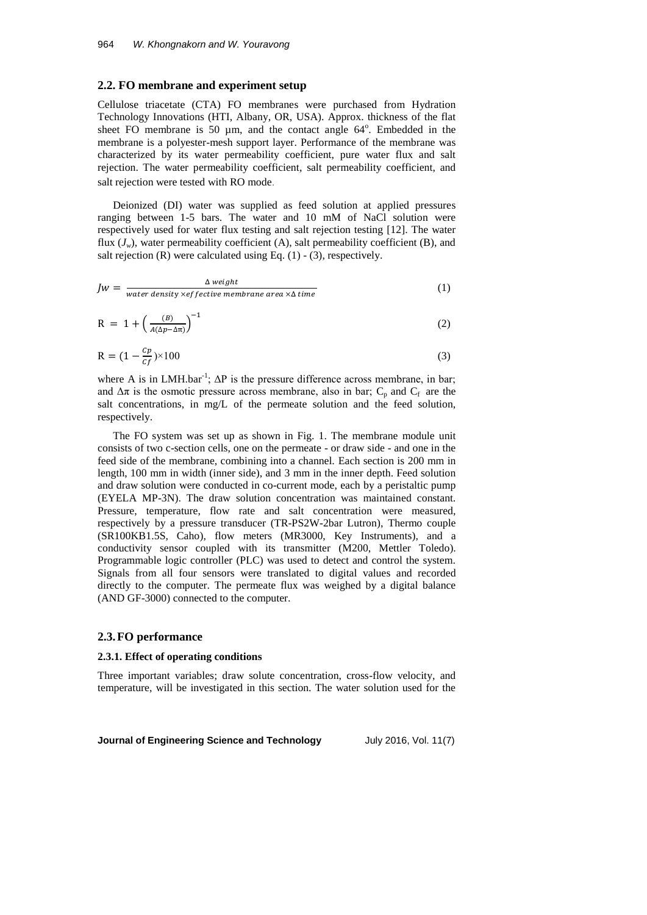#### **2.2. FO membrane and experiment setup**

Cellulose triacetate (CTA) FO membranes were purchased from Hydration Technology Innovations (HTI, Albany, OR, USA). Approx. thickness of the flat sheet FO membrane is 50 µm, and the contact angle 64°. Embedded in the membrane is a polyester-mesh support layer. Performance of the membrane was characterized by its water permeability coefficient, pure water flux and salt rejection. The water permeability coefficient, salt permeability coefficient, and salt rejection were tested with RO mode.

Deionized (DI) water was supplied as feed solution at applied pressures ranging between 1-5 bars. The water and 10 mM of NaCl solution were respectively used for water flux testing and salt rejection testing [12]. The water flux  $(J_w)$ , water permeability coefficient (A), salt permeability coefficient (B), and salt rejection  $(R)$  were calculated using Eq.  $(1)$  -  $(3)$ , respectively.

$$
Jw = \frac{\Delta \text{ weight}}{\text{water density } \times \text{effective membrane area } \times \Delta \text{ time}}
$$
 (1)

$$
R = 1 + \left(\frac{B}{A(\Delta p - \Delta \pi)}\right)^{-1} \tag{2}
$$

$$
R = (1 - \frac{c_p}{cf}) \times 100 \tag{3}
$$

where A is in LMH.bar<sup>-1</sup>;  $\Delta P$  is the pressure difference across membrane, in bar; and  $\Delta \pi$  is the osmotic pressure across membrane, also in bar; C<sub>p</sub> and C<sub>f</sub> are the salt concentrations, in mg/L of the permeate solution and the feed solution, respectively.

The FO system was set up as shown in Fig. 1. The membrane module unit consists of two c-section cells, one on the permeate - or draw side - and one in the feed side of the membrane, combining into a channel. Each section is 200 mm in length, 100 mm in width (inner side), and 3 mm in the inner depth. Feed solution and draw solution were conducted in co-current mode, each by a peristaltic pump (EYELA MP-3N). The draw solution concentration was maintained constant. Pressure, temperature, flow rate and salt concentration were measured, respectively by a pressure transducer (TR-PS2W-2bar Lutron), Thermo couple (SR100KB1.5S, Caho), flow meters (MR3000, Key Instruments), and a conductivity sensor coupled with its transmitter (M200, Mettler Toledo). Programmable logic controller (PLC) was used to detect and control the system. Signals from all four sensors were translated to digital values and recorded directly to the computer. The permeate flux was weighed by a digital balance (AND GF-3000) connected to the computer.

#### **2.3.FO performance**

#### **2.3.1. Effect of operating conditions**

Three important variables; draw solute concentration, cross-flow velocity, and temperature, will be investigated in this section. The water solution used for the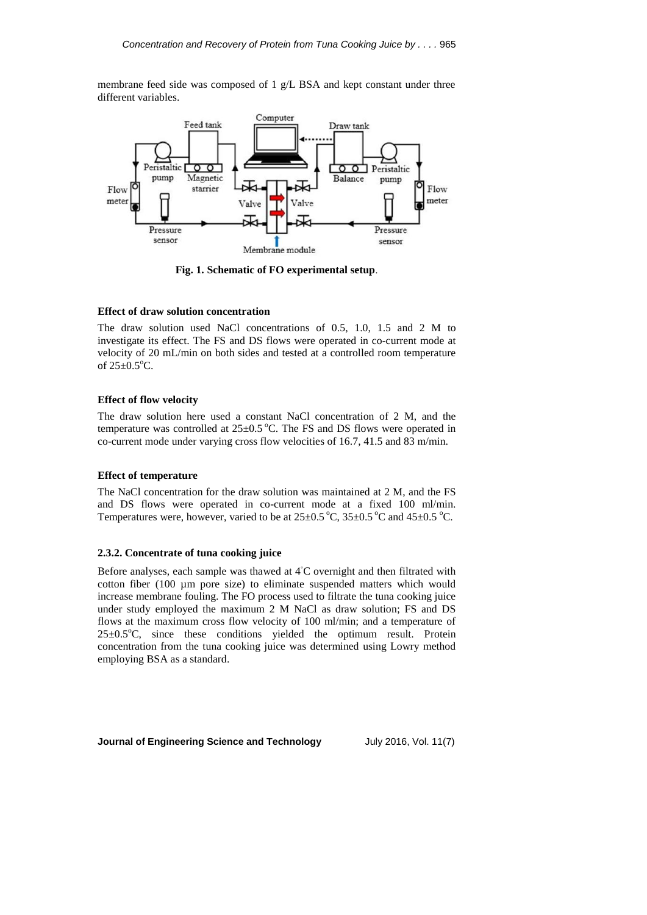membrane feed side was composed of 1 g/L BSA and kept constant under three different variables.



**Fig. 1. Schematic of FO experimental setup**.

### **Effect of draw solution concentration**

The draw solution used NaCl concentrations of 0.5, 1.0, 1.5 and 2 M to investigate its effect. The FS and DS flows were operated in co-current mode at velocity of 20 mL/min on both sides and tested at a controlled room temperature of  $25 \pm 0.5^{\circ}$ C.

# **Effect of flow velocity**

The draw solution here used a constant NaCl concentration of 2 M, and the temperature was controlled at  $25\pm0.5$  °C. The FS and DS flows were operated in co-current mode under varying cross flow velocities of 16.7, 41.5 and 83 m/min.

### **Effect of temperature**

The NaCl concentration for the draw solution was maintained at 2 M, and the FS and DS flows were operated in co-current mode at a fixed 100 ml/min. Temperatures were, however, varied to be at  $25\pm0.5\degree C$ ,  $35\pm0.5\degree C$  and  $45\pm0.5\degree C$ .

### **2.3.2. Concentrate of tuna cooking juice**

Before analyses, each sample was thawed at 4◦C overnight and then filtrated with cotton fiber (100 µm pore size) to eliminate suspended matters which would increase membrane fouling. The FO process used to filtrate the tuna cooking juice under study employed the maximum 2 M NaCl as draw solution; FS and DS flows at the maximum cross flow velocity of 100 ml/min; and a temperature of  $25\pm0.5^{\circ}$ C, since these conditions yielded the optimum result. Protein concentration from the tuna cooking juice was determined using Lowry method employing BSA as a standard.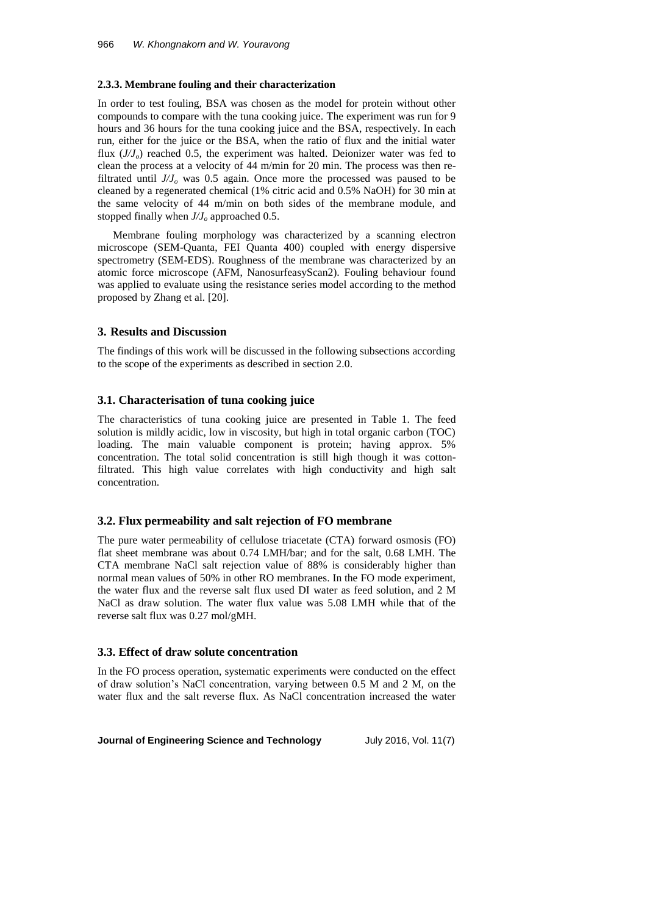### **2.3.3. Membrane fouling and their characterization**

In order to test fouling, BSA was chosen as the model for protein without other compounds to compare with the tuna cooking juice. The experiment was run for 9 hours and 36 hours for the tuna cooking juice and the BSA, respectively. In each run, either for the juice or the BSA, when the ratio of flux and the initial water flux (*J/Jo*) reached 0.5, the experiment was halted. Deionizer water was fed to clean the process at a velocity of 44 m/min for 20 min. The process was then refiltrated until  $J/J_o$  was 0.5 again. Once more the processed was paused to be cleaned by a regenerated chemical (1% citric acid and 0.5% NaOH) for 30 min at the same velocity of 44 m/min on both sides of the membrane module, and stopped finally when *J/J<sup>o</sup>* approached 0.5.

Membrane fouling morphology was characterized by a scanning electron microscope (SEM-Quanta, FEI Quanta 400) coupled with energy dispersive spectrometry (SEM-EDS). Roughness of the membrane was characterized by an atomic force microscope (AFM, NanosurfeasyScan2). Fouling behaviour found was applied to evaluate using the resistance series model according to the method proposed by Zhang et al. [20].

# **3. Results and Discussion**

The findings of this work will be discussed in the following subsections according to the scope of the experiments as described in section 2.0.

### **3.1. Characterisation of tuna cooking juice**

The characteristics of tuna cooking juice are presented in Table 1. The feed solution is mildly acidic, low in viscosity, but high in total organic carbon (TOC) loading. The main valuable component is protein; having approx. 5% concentration. The total solid concentration is still high though it was cottonfiltrated. This high value correlates with high conductivity and high salt concentration.

### **3.2. Flux permeability and salt rejection of FO membrane**

The pure water permeability of cellulose triacetate (CTA) forward osmosis (FO) flat sheet membrane was about 0.74 LMH/bar; and for the salt, 0.68 LMH. The CTA membrane NaCl salt rejection value of 88% is considerably higher than normal mean values of 50% in other RO membranes. In the FO mode experiment, the water flux and the reverse salt flux used DI water as feed solution, and 2 M NaCl as draw solution. The water flux value was 5.08 LMH while that of the reverse salt flux was 0.27 mol/gMH.

# **3.3. Effect of draw solute concentration**

In the FO process operation, systematic experiments were conducted on the effect of draw solution's NaCl concentration, varying between 0.5 M and 2 M, on the water flux and the salt reverse flux. As NaCl concentration increased the water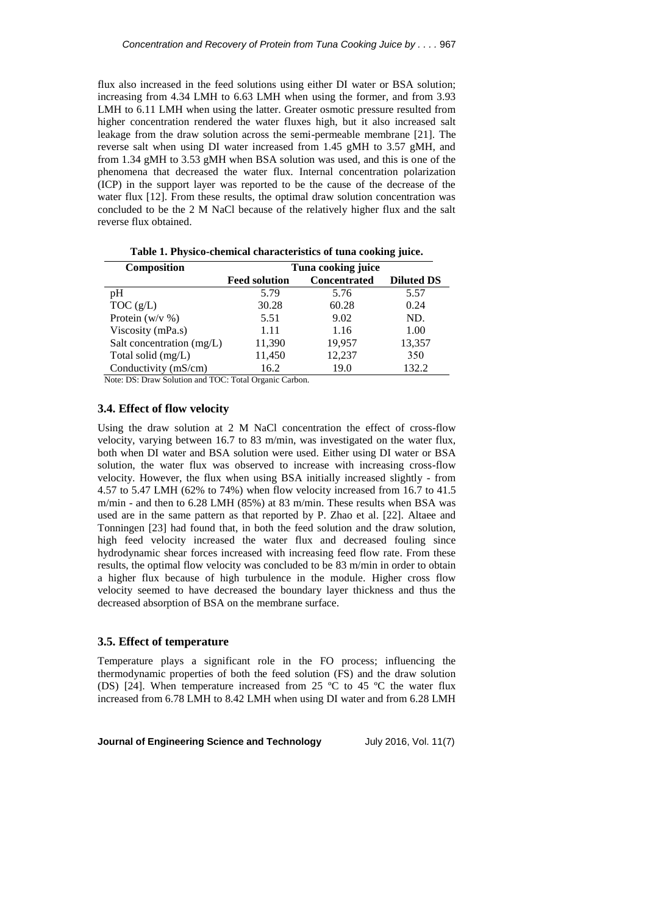flux also increased in the feed solutions using either DI water or BSA solution; increasing from 4.34 LMH to 6.63 LMH when using the former, and from 3.93 LMH to 6.11 LMH when using the latter. Greater osmotic pressure resulted from higher concentration rendered the water fluxes high, but it also increased salt leakage from the draw solution across the semi-permeable membrane [21]. The reverse salt when using DI water increased from 1.45 gMH to 3.57 gMH, and from 1.34 gMH to 3.53 gMH when BSA solution was used, and this is one of the phenomena that decreased the water flux. Internal concentration polarization (ICP) in the support layer was reported to be the cause of the decrease of the water flux [12]. From these results, the optimal draw solution concentration was concluded to be the 2 M NaCl because of the relatively higher flux and the salt reverse flux obtained.

| <b>Composition</b>        | Tuna cooking juice   |                     |                   |  |
|---------------------------|----------------------|---------------------|-------------------|--|
|                           | <b>Feed solution</b> | <b>Concentrated</b> | <b>Diluted DS</b> |  |
| рH                        | 5.79                 | 5.76                | 5.57              |  |
| TOC(g/L)                  | 30.28                | 60.28               | 0.24              |  |
| Protein $(w/v \%)$        | 5.51                 | 9.02                | ND.               |  |
| Viscosity (mPa.s)         | 1.11                 | 1.16                | 1.00              |  |
| Salt concentration (mg/L) | 11,390               | 19,957              | 13,357            |  |
| Total solid (mg/L)        | 11,450               | 12,237              | 350               |  |
| Conductivity (mS/cm)      | 16.2                 | 19.0                | 132.2             |  |

**Table 1. Physico-chemical characteristics of tuna cooking juice.**

Note: DS: Draw Solution and TOC: Total Organic Carbon.

# **3.4. Effect of flow velocity**

Using the draw solution at 2 M NaCl concentration the effect of cross-flow velocity, varying between 16.7 to 83 m/min, was investigated on the water flux, both when DI water and BSA solution were used. Either using DI water or BSA solution, the water flux was observed to increase with increasing cross-flow velocity. However, the flux when using BSA initially increased slightly - from 4.57 to 5.47 LMH (62% to 74%) when flow velocity increased from 16.7 to 41.5 m/min - and then to 6.28 LMH (85%) at 83 m/min. These results when BSA was used are in the same pattern as that reported by P. Zhao et al. [22]. Altaee and Tonningen [23] had found that, in both the feed solution and the draw solution, high feed velocity increased the water flux and decreased fouling since hydrodynamic shear forces increased with increasing feed flow rate. From these results, the optimal flow velocity was concluded to be 83 m/min in order to obtain a higher flux because of high turbulence in the module. Higher cross flow velocity seemed to have decreased the boundary layer thickness and thus the decreased absorption of BSA on the membrane surface.

### **3.5. Effect of temperature**

Temperature plays a significant role in the FO process; influencing the thermodynamic properties of both the feed solution (FS) and the draw solution (DS) [24]. When temperature increased from 25  $^{\circ}$ C to 45  $^{\circ}$ C the water flux increased from 6.78 LMH to 8.42 LMH when using DI water and from 6.28 LMH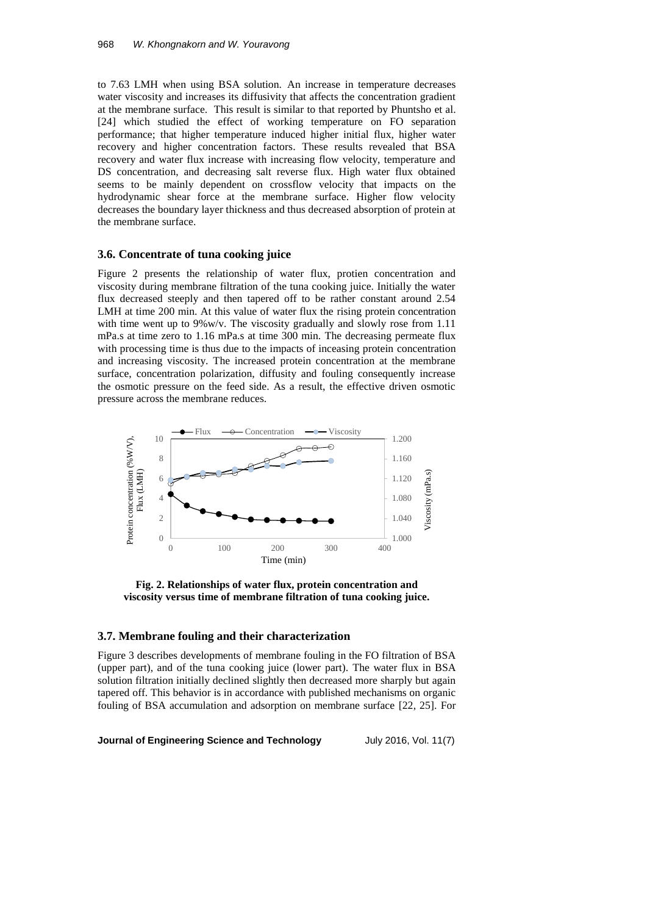to 7.63 LMH when using BSA solution. An increase in temperature decreases water viscosity and increases its diffusivity that affects the concentration gradient at the membrane surface. This result is similar to that reported by Phuntsho et al. [24] which studied the effect of working temperature on FO separation performance; that higher temperature induced higher initial flux, higher water recovery and higher concentration factors. These results revealed that BSA recovery and water flux increase with increasing flow velocity, temperature and DS concentration, and decreasing salt reverse flux. High water flux obtained seems to be mainly dependent on crossflow velocity that impacts on the hydrodynamic shear force at the membrane surface. Higher flow velocity decreases the boundary layer thickness and thus decreased absorption of protein at the membrane surface.

# **3.6. Concentrate of tuna cooking juice**

Figure 2 presents the relationship of water flux, protien concentration and viscosity during membrane filtration of the tuna cooking juice. Initially the water flux decreased steeply and then tapered off to be rather constant around 2.54 LMH at time 200 min. At this value of water flux the rising protein concentration with time went up to 9%w/v. The viscosity gradually and slowly rose from 1.11 mPa.s at time zero to 1.16 mPa.s at time 300 min. The decreasing permeate flux with processing time is thus due to the impacts of inceasing protein concentration and increasing viscosity. The increased protein concentration at the membrane surface, concentration polarization, diffusity and fouling consequently increase the osmotic pressure on the feed side. As a result, the effective driven osmotic pressure across the membrane reduces.



**Fig. 2. Relationships of water flux, protein concentration and viscosity versus time of membrane filtration of tuna cooking juice.**

# **3.7. Membrane fouling and their characterization**

Figure 3 describes developments of membrane fouling in the FO filtration of BSA (upper part), and of the tuna cooking juice (lower part). The water flux in BSA solution filtration initially declined slightly then decreased more sharply but again tapered off. This behavior is in accordance with published mechanisms on organic fouling of BSA accumulation and adsorption on membrane surface [22, 25]. For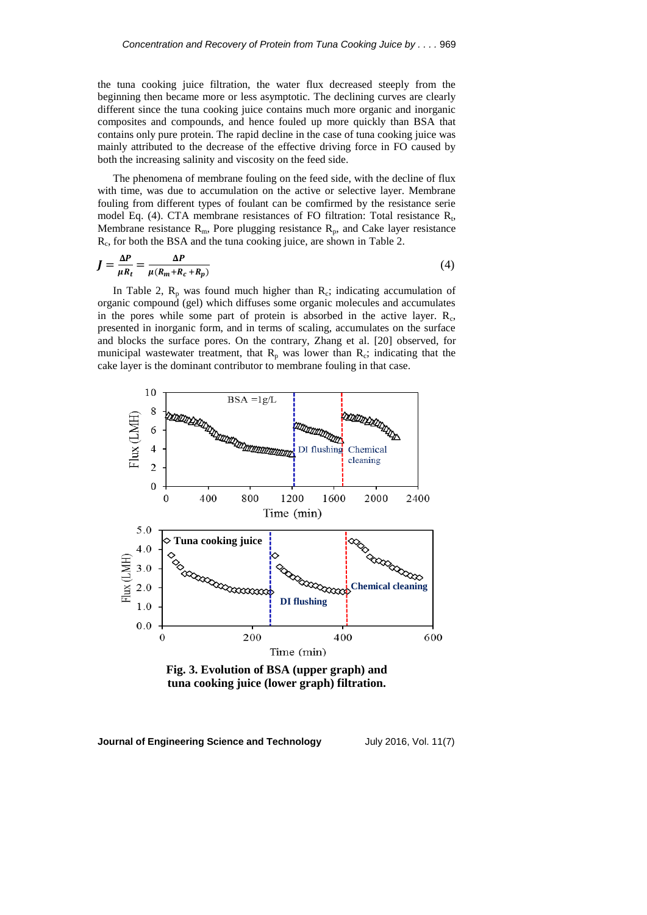the tuna cooking juice filtration, the water flux decreased steeply from the beginning then became more or less asymptotic. The declining curves are clearly different since the tuna cooking juice contains much more organic and inorganic composites and compounds, and hence fouled up more quickly than BSA that contains only pure protein. The rapid decline in the case of tuna cooking juice was mainly attributed to the decrease of the effective driving force in FO caused by both the increasing salinity and viscosity on the feed side.

The phenomena of membrane fouling on the feed side, with the decline of flux with time, was due to accumulation on the active or selective layer. Membrane fouling from different types of foulant can be comfirmed by the resistance serie model Eq. (4). CTA membrane resistances of FO filtration: Total resistance  $R_t$ , Membrane resistance  $R_m$ , Pore plugging resistance  $R_p$ , and Cake layer resistance R<sub>c</sub>, for both the BSA and the tuna cooking juice, are shown in Table 2.

$$
J = \frac{\Delta P}{\mu R_t} = \frac{\Delta P}{\mu (R_m + R_c + R_p)}\tag{4}
$$

In Table 2,  $R_p$  was found much higher than  $R_c$ ; indicating accumulation of organic compound (gel) which diffuses some organic molecules and accumulates in the pores while some part of protein is absorbed in the active layer.  $R_c$ , presented in inorganic form, and in terms of scaling, accumulates on the surface and blocks the surface pores. On the contrary, Zhang et al. [20] observed, for municipal wastewater treatment, that  $R_p$  was lower than  $R_c$ ; indicating that the cake layer is the dominant contributor to membrane fouling in that case.



**Fig. 3. Evolution of BSA (upper graph) and tuna cooking juice (lower graph) filtration.**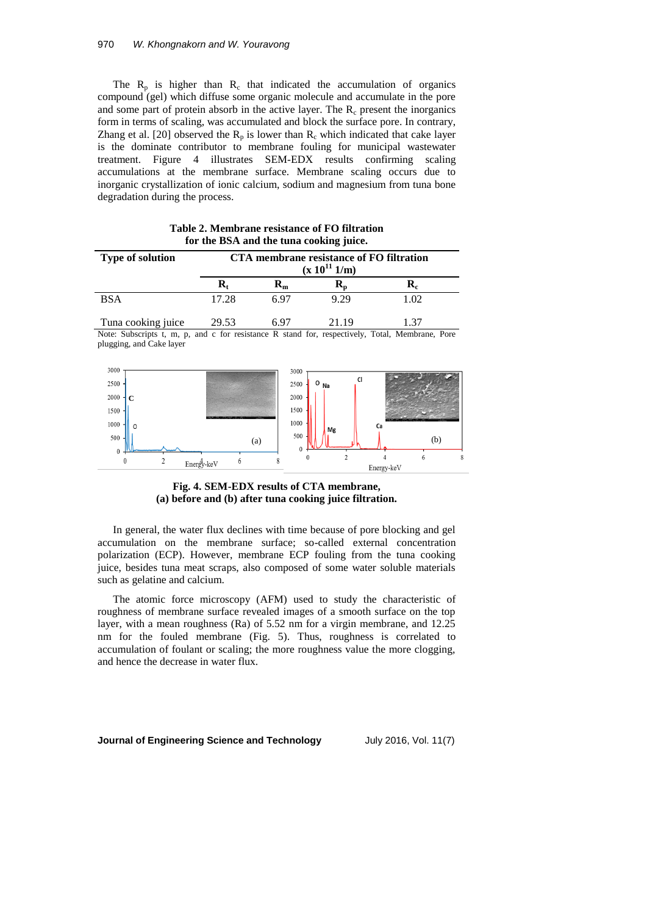The  $R_p$  is higher than  $R_c$  that indicated the accumulation of organics compound (gel) which diffuse some organic molecule and accumulate in the pore and some part of protein absorb in the active layer. The  $R_c$  present the inorganics form in terms of scaling, was accumulated and block the surface pore. In contrary, Zhang et al. [20] observed the  $R_p$  is lower than  $R_c$  which indicated that cake layer is the dominate contributor to membrane fouling for municipal wastewater treatment. Figure 4 illustrates SEM-EDX results confirming scaling accumulations at the membrane surface. Membrane scaling occurs due to inorganic crystallization of ionic calcium, sodium and magnesium from tuna bone degradation during the process.

|                         |                           |                                                               | - -  |      |  |  |
|-------------------------|---------------------------|---------------------------------------------------------------|------|------|--|--|
| <b>Type of solution</b> |                           | CTA membrane resistance of FO filtration<br>$(x 10^{11} 1/m)$ |      |      |  |  |
|                         | $\mathbf{R}_{\mathrm{f}}$ | $\mathbf{K}_{\mathbf{m}}$                                     | ĸ,   | ĸ.   |  |  |
| <b>BSA</b>              | 17.28                     | 6 ዓ7                                                          | 9.29 | 1.02 |  |  |
|                         |                           |                                                               |      |      |  |  |

| Table 2. Membrane resistance of FO filtration |  |  |
|-----------------------------------------------|--|--|
| for the BSA and the tuna cooking juice.       |  |  |

Tuna cooking juice 29.53 6.97 21.19 1.37 Note: Subscripts t, m, p, and c for resistance R stand for, respectively, Total, Membrane, Pore plugging, and Cake layer



# **Fig. 4. SEM-EDX results of CTA membrane, (a) before and (b) after tuna cooking juice filtration.**

In general, the water flux declines with time because of pore blocking and gel accumulation on the membrane surface; so-called external concentration polarization (ECP). However, membrane ECP fouling from the tuna cooking juice, besides tuna meat scraps, also composed of some water soluble materials such as gelatine and calcium.

The atomic force microscopy (AFM) used to study the characteristic of roughness of membrane surface revealed images of a smooth surface on the top layer, with a mean roughness (Ra) of 5.52 nm for a virgin membrane, and 12.25 nm for the fouled membrane (Fig. 5). Thus, roughness is correlated to accumulation of foulant or scaling; the more roughness value the more clogging, and hence the decrease in water flux.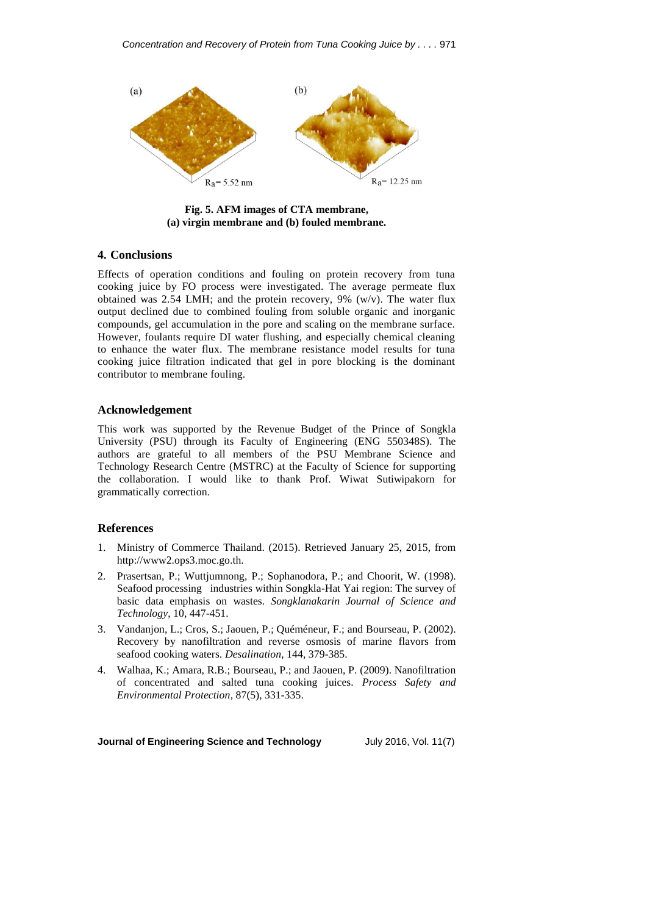

**Fig. 5. AFM images of CTA membrane, (a) virgin membrane and (b) fouled membrane.**

# **4. Conclusions**

Effects of operation conditions and fouling on protein recovery from tuna cooking juice by FO process were investigated. The average permeate flux obtained was 2.54 LMH; and the protein recovery, 9% (w/v). The water flux output declined due to combined fouling from soluble organic and inorganic compounds, gel accumulation in the pore and scaling on the membrane surface. However, foulants require DI water flushing, and especially chemical cleaning to enhance the water flux. The membrane resistance model results for tuna cooking juice filtration indicated that gel in pore blocking is the dominant contributor to membrane fouling.

# **Acknowledgement**

This work was supported by the Revenue Budget of the Prince of Songkla University (PSU) through its Faculty of Engineering (ENG 550348S). The authors are grateful to all members of the PSU Membrane Science and Technology Research Centre (MSTRC) at the Faculty of Science for supporting the collaboration. I would like to thank Prof. Wiwat Sutiwipakorn for grammatically correction.

# **References**

- 1. Ministry of Commerce Thailand. (2015). Retrieved January 25, 2015, from http://www2.ops3.moc.go.th.
- 2. Prasertsan, P.; Wuttjumnong, P.; Sophanodora, P.; and Choorit, W. (1998). Seafood processing industries within Songkla-Hat Yai region: The survey of basic data emphasis on wastes. *Songklanakarin Journal of Science and Technology*, 10, 447-451.
- 3. Vandanjon, L.; Cros, S.; Jaouen, P.; Quéméneur, F.; and Bourseau, P. (2002). Recovery by nanofiltration and reverse osmosis of marine flavors from seafood cooking waters. *Desalination*, 144, 379-385.
- 4. Walhaa, K.; Amara, R.B.; Bourseau, P.; and Jaouen, P. (2009). Nanofiltration of concentrated and salted tuna cooking juices. *Process Safety and Environmental Protection,* 87(5), 331-335.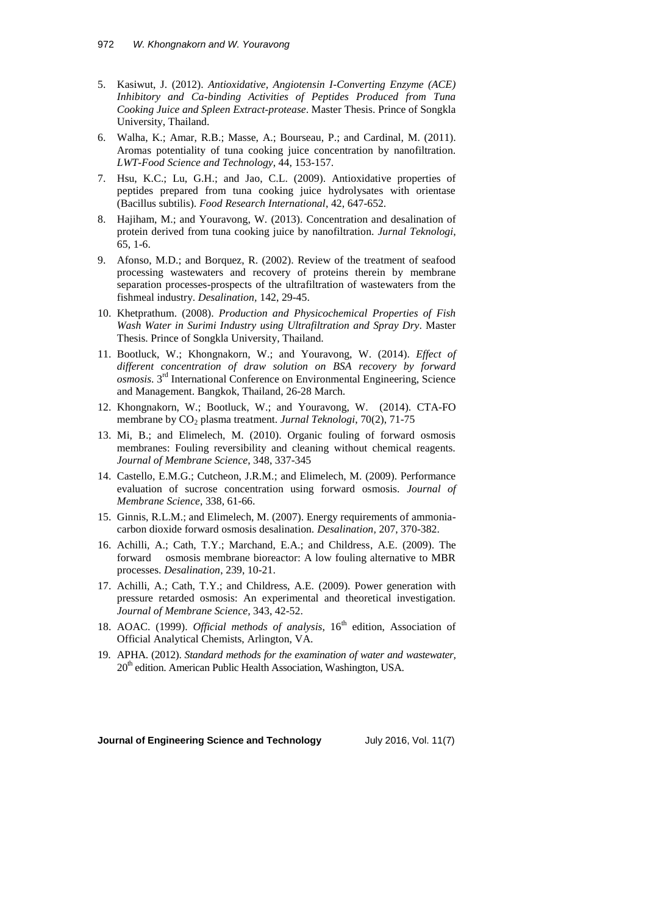- 5. Kasiwut, J. (2012). *Antioxidative, Angiotensin I-Converting Enzyme (ACE) Inhibitory and Ca-binding Activities of Peptides Produced from Tuna Cooking Juice and Spleen Extract-protease*. Master Thesis. Prince of Songkla University, Thailand.
- 6. Walha, K.; Amar, R.B.; Masse, A.; Bourseau, P.; and Cardinal, M. (2011). Aromas potentiality of tuna cooking juice concentration by nanofiltration. *LWT-Food Science and Technology*, 44, 153-157.
- 7. Hsu, K.C.; Lu, G.H.; and Jao, C.L. (2009). Antioxidative properties of peptides prepared from tuna cooking juice hydrolysates with orientase (Bacillus subtilis). *Food Research International*, 42, 647-652.
- 8. Hajiham, M.; and Youravong, W. (2013). Concentration and desalination of protein derived from tuna cooking juice by nanofiltration. *Jurnal Teknologi*, 65, 1-6.
- 9. Afonso, M.D.; and Borquez, R. (2002). Review of the treatment of seafood processing wastewaters and recovery of proteins therein by membrane separation processes-prospects of the ultrafiltration of wastewaters from the fishmeal industry. *Desalination,* 142, 29-45.
- 10. Khetprathum. (2008). *Production and Physicochemical Properties of Fish Wash Water in Surimi Industry using Ultrafiltration and Spray Dry*. Master Thesis. Prince of Songkla University, Thailand.
- 11. Bootluck, W.; Khongnakorn, W.; and Youravong, W. (2014). *Effect of different concentration of draw solution on BSA recovery by forward osmosis*. 3rd International Conference on Environmental Engineering, Science and Management. Bangkok, Thailand, 26-28 March.
- 12. Khongnakorn, W.; Bootluck, W.; and Youravong, W. (2014). CTA-FO membrane by  $CO<sub>2</sub>$  plasma treatment. *Jurnal Teknologi*, 70(2), 71-75
- 13. Mi, B.; and Elimelech, M. (2010). Organic fouling of forward osmosis membranes: Fouling reversibility and cleaning without chemical reagents. *Journal of Membrane Science*, 348, 337-345
- 14. Castello, E.M.G.; Cutcheon, J.R.M.; and Elimelech, M. (2009). Performance evaluation of sucrose concentration using forward osmosis. *Journal of Membrane Science*, 338, 61-66.
- 15. Ginnis, R.L.M.; and Elimelech, M. (2007). Energy requirements of ammoniacarbon dioxide forward osmosis desalination. *Desalination,* 207, 370-382.
- 16. Achilli, A.; Cath, T.Y.; Marchand, E.A.; and Childress, A.E. (2009). The forward osmosis membrane bioreactor: A low fouling alternative to MBR processes. *Desalination*, 239, 10-21.
- 17. Achilli, A.; Cath, T.Y.; and Childress, A.E. (2009). Power generation with pressure retarded osmosis: An experimental and theoretical investigation. *Journal of Membrane Science,* 343, 42-52.
- 18. AOAC. (1999). *Official methods of analysis*, 16<sup>th</sup> edition, Association of Official Analytical Chemists, Arlington, VA.
- 19. APHA. (2012). *Standard methods for the examination of water and wastewater,*  $20<sup>th</sup>$  edition. American Public Health Association, Washington, USA.